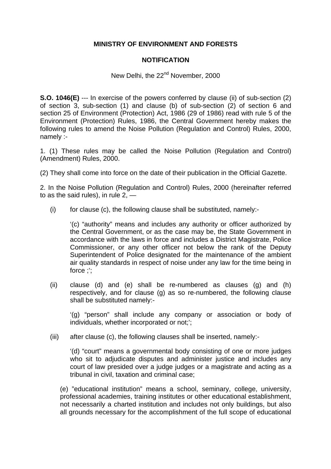## **MINISTRY OF ENVIRONMENT AND FORESTS**

## **NOTIFICATION**

## New Delhi, the 22<sup>nd</sup> November, 2000

**S.O. 1046(E)** --- In exercise of the powers conferred by clause (ii) of sub-section (2) of section 3, sub-section (1) and clause (b) of sub-section (2) of section 6 and section 25 of Environment (Protection) Act, 1986 (29 of 1986) read with rule 5 of the Environment (Protection) Rules, 1986, the Central Government hereby makes the following rules to amend the Noise Pollution (Regulation and Control) Rules, 2000, namely :-

1. (1) These rules may be called the Noise Pollution (Regulation and Control) (Amendment) Rules, 2000.

(2) They shall come into force on the date of their publication in the Official Gazette.

2. In the Noise Pollution (Regulation and Control) Rules, 2000 (hereinafter referred to as the said rules), in rule  $2, -$ 

(i) for clause (c), the following clause shall be substituted, namely:-

'(c) "authority" means and includes any authority or officer authorized by the Central Government, or as the case may be, the State Government in accordance with the laws in force and includes a District Magistrate, Police Commissioner, or any other officer not below the rank of the Deputy Superintendent of Police designated for the maintenance of the ambient air quality standards in respect of noise under any law for the time being in force ;';

(ii) clause (d) and (e) shall be re-numbered as clauses (g) and (h) respectively, and for clause (g) as so re-numbered, the following clause shall be substituted namely:-

'(g) "person" shall include any company or association or body of individuals, whether incorporated or not;';

(iii) after clause (c), the following clauses shall be inserted, namely:-

'(d) "court" means a governmental body consisting of one or more judges who sit to adjudicate disputes and administer justice and includes any court of law presided over a judge judges or a magistrate and acting as a tribunal in civil, taxation and criminal case;

(e) "educational institution" means a school, seminary, college, university, professional academies, training institutes or other educational establishment, not necessarily a charted institution and includes not only buildings, but also all grounds necessary for the accomplishment of the full scope of educational